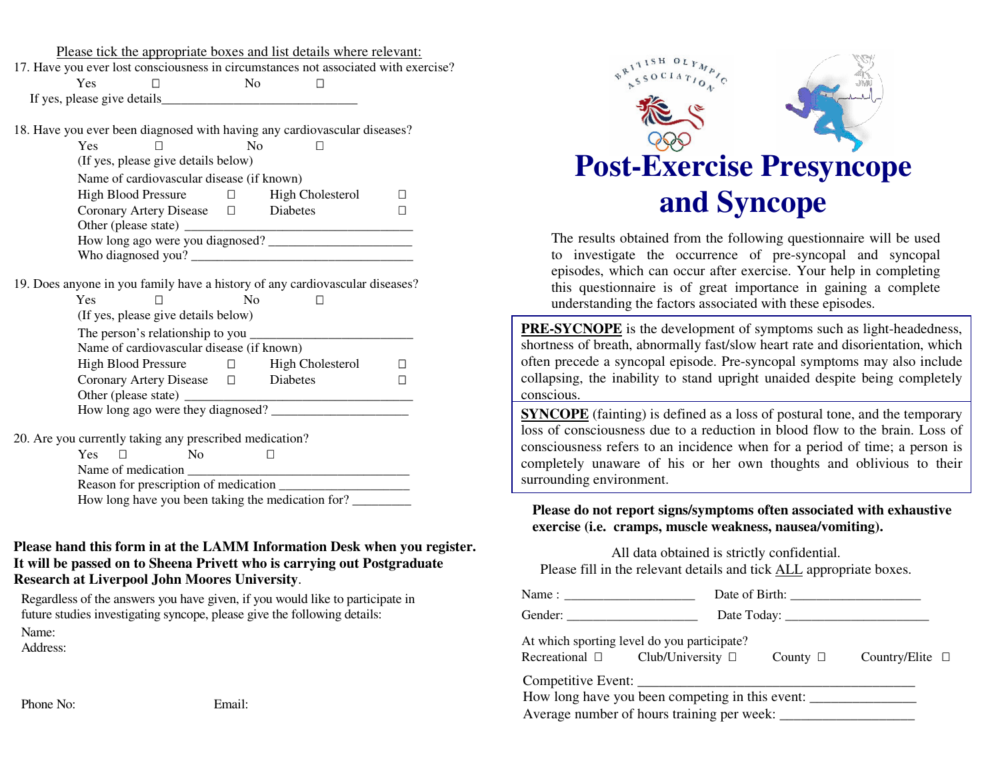Please tick the appropriate boxes and list details where relevant:

17. Have y o u ever lost co nscio usness in circu mstances n ot associated with exercise? Yes $\mathbf{s}$ NoIf yes, please give details\_\_\_\_\_\_\_

18. Have y o u ever been diag n osed with havin g an y cardio vascular diseases?

Yes No(If yes, please give details belo w) Name of cardiovascular disease (if k nown) Hig hBloodPressure Hig hCholesterol C oro nary Artery Disease Diabetes $\mathbf{s}$ Other (please state) \_ \_\_\_\_\_ \_\_\_\_\_\_\_\_\_\_\_ H o w lo n g ag o were y o u diag n osed? \_\_\_ \_\_\_\_ \_\_\_\_\_\_\_\_\_\_\_\_ \_\_\_ W h o diag n osed y o u? \_ \_\_\_\_ \_\_\_\_ \_\_\_\_\_\_\_\_ \_\_\_\_ \_\_\_\_\_\_\_\_ \_\_\_\_ \_

19. D oes an y o ne in y o u family have <sup>a</sup> history of an y cardio vascular diseases?

| Yes                                       | N٥                      |
|-------------------------------------------|-------------------------|
| (If yes, please give details below)       |                         |
| The person's relationship to you _        |                         |
| Name of cardiovascular disease (if known) |                         |
| High Blood Pressure                       | <b>High Cholesterol</b> |
| Coronary Artery Disease                   | Diabetes                |
| Other (please state)                      |                         |
| How long ago were they diagnosed?         |                         |

\_

2 0. Are y o u currently takin g an y prescribed medicatio n? Yes No

| .                                     |                                                   |  |
|---------------------------------------|---------------------------------------------------|--|
| Name of medication                    |                                                   |  |
| Reason for prescription of medication |                                                   |  |
|                                       | How long have you been taking the medication for? |  |
|                                       |                                                   |  |

## Please hand this form in at the LAMM Information Desk when you register. It will be passed on to Sheena Privett who is carrying out Postgraduate **Research at Liverpool John Moores University.**

Regardless of the answers y o u have given, if y o u w o uld like to participate in future studies investigating syncope, please give the following details: Name:

Address:

Phone No:

 EEmail:



The results <sup>o</sup>btained fro m th e following q uestionnairewill beusedto investigate the occurrence of pre-syncopal and syncopal e piso d es, w hich ca n occur after <sup>e</sup> x ercise. Yo ur h elp in co mpletin g this questionnaire is of great importance in gaining a complete understanding the factors associated with these episodes.

**PRE-SYCNOPE** is the development of symptoms such as light-headedness, shortness of breath, abnormally fast/slow heart rate and disorientation, which ofte n prece d e a sy nco p al e piso d e. Pre-sy nco p al sy mpto ms ma y also inclu d e collapsing, the inability to stand upright unaided despite being completely conscious.

**SYNCOPE** (fainting) is defined as a loss of postural tone, and the temporary loss of consciousness due to a reduction in blood flow to the brain. Loss of consciousness refers to an incidence when for a period of time; a person is completely unaware of his or her own thoughts and oblivious to their surrounding environment.

Please do not report signs/symptoms often associated with exhaustive exercise (i.e. cramps, muscle weakness, nausea/vomiting).

All data obtained is strictly confidential.

Please fill in the relevant details and tick **ALL** appropriate boxes.

| Name:   | Date of Birth: |
|---------|----------------|
| Gender: | Date Today:    |

At w hich sp ortin g level d o y o u participate? Recreational Clu b/U niversity County C o u ntry/Elite

C o m p etitiv e E v e nt: \_\_\_\_\_\_\_\_\_\_\_\_\_\_\_\_\_\_\_\_\_\_\_\_\_\_\_\_\_\_\_\_\_\_\_\_\_\_\_

How long have you been competing in this event: \_\_\_\_\_\_\_\_\_\_\_\_\_\_\_\_\_\_\_\_\_\_\_\_\_\_\_\_\_\_\_\_

Av era g e n u mb er of h o urs trainin g p er we e k: \_\_\_\_\_\_\_\_\_\_\_\_\_\_\_\_\_\_\_